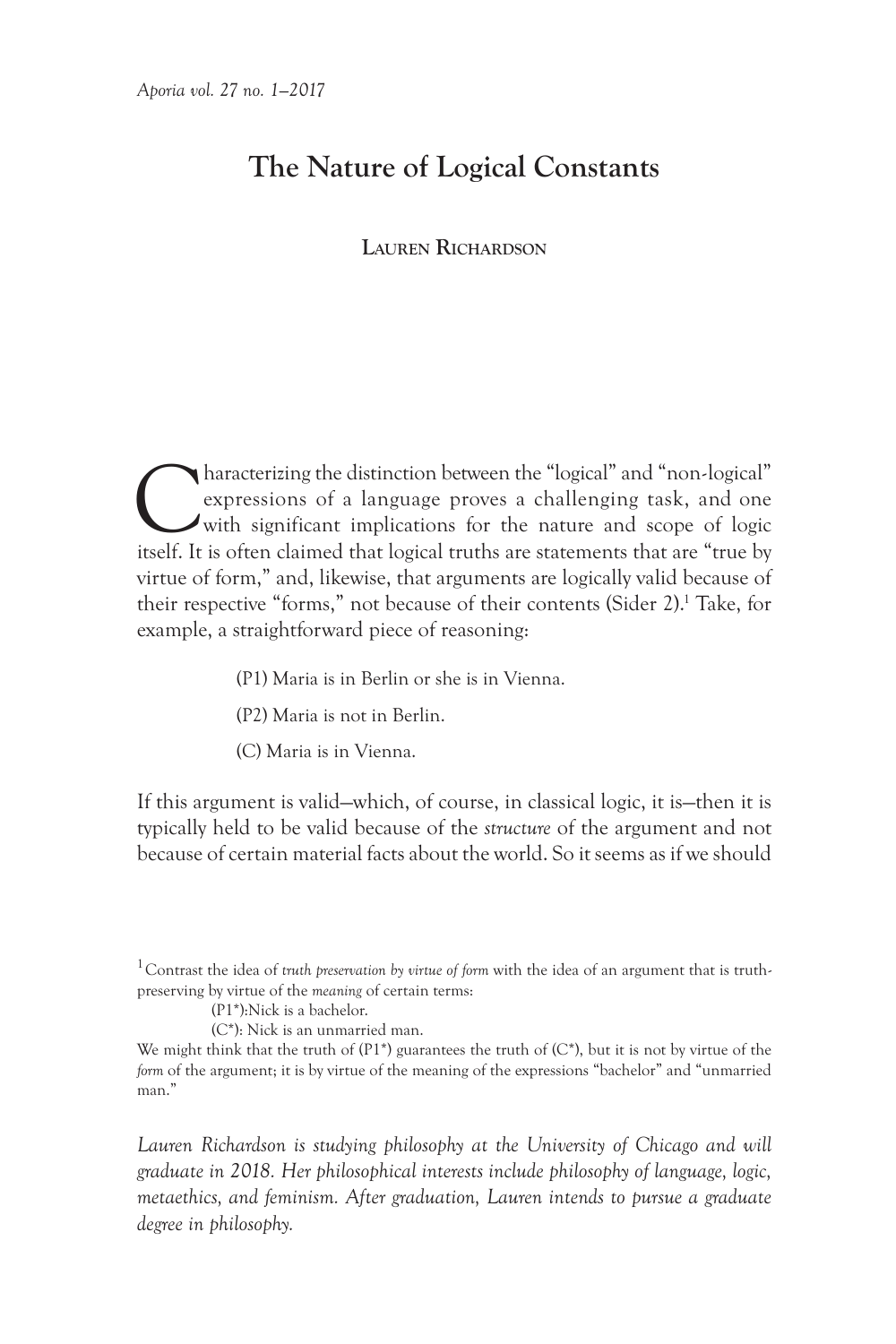# **The Nature of Logical Constants**

# **Lauren Richardson**

Characterizing the distinction between the "logical" and "non-logical" expressions of a language proves a challenging task, and one with significant implications for the nature and scope of logic itself. It is often claime expressions of a language proves a challenging task, and one with significant implications for the nature and scope of logic itself. It is often claimed that logical truths are statements that are "true by virtue of form," and, likewise, that arguments are logically valid because of their respective "forms," not because of their contents (Sider 2).<sup>1</sup> Take, for example, a straightforward piece of reasoning:

- (P1) Maria is in Berlin or she is in Vienna.
- (P2) Maria is not in Berlin.
- (C) Maria is in Vienna.

If this argument is valid—which, of course, in classical logic, it is—then it is typically held to be valid because of the *structure* of the argument and not because of certain material facts about the world. So it seems as if we should

Lauren Richardson is studying philosophy at the University of Chicago and will *graduate in 2018. Her philosophical interests include philosophy of language, logic, metaethics, and feminism. After graduation, Lauren intends to pursue a graduate degree in philosophy.*

<sup>1</sup>Contrast the idea of *truth preservation by virtue of form* with the idea of an argument that is truthpreserving by virtue of the *meaning* of certain terms:

<sup>(</sup>P1\*):Nick is a bachelor.

<sup>(</sup>C\*): Nick is an unmarried man.

We might think that the truth of  $(P1*)$  guarantees the truth of  $(C*)$ , but it is not by virtue of the *form* of the argument; it is by virtue of the meaning of the expressions "bachelor" and "unmarried man."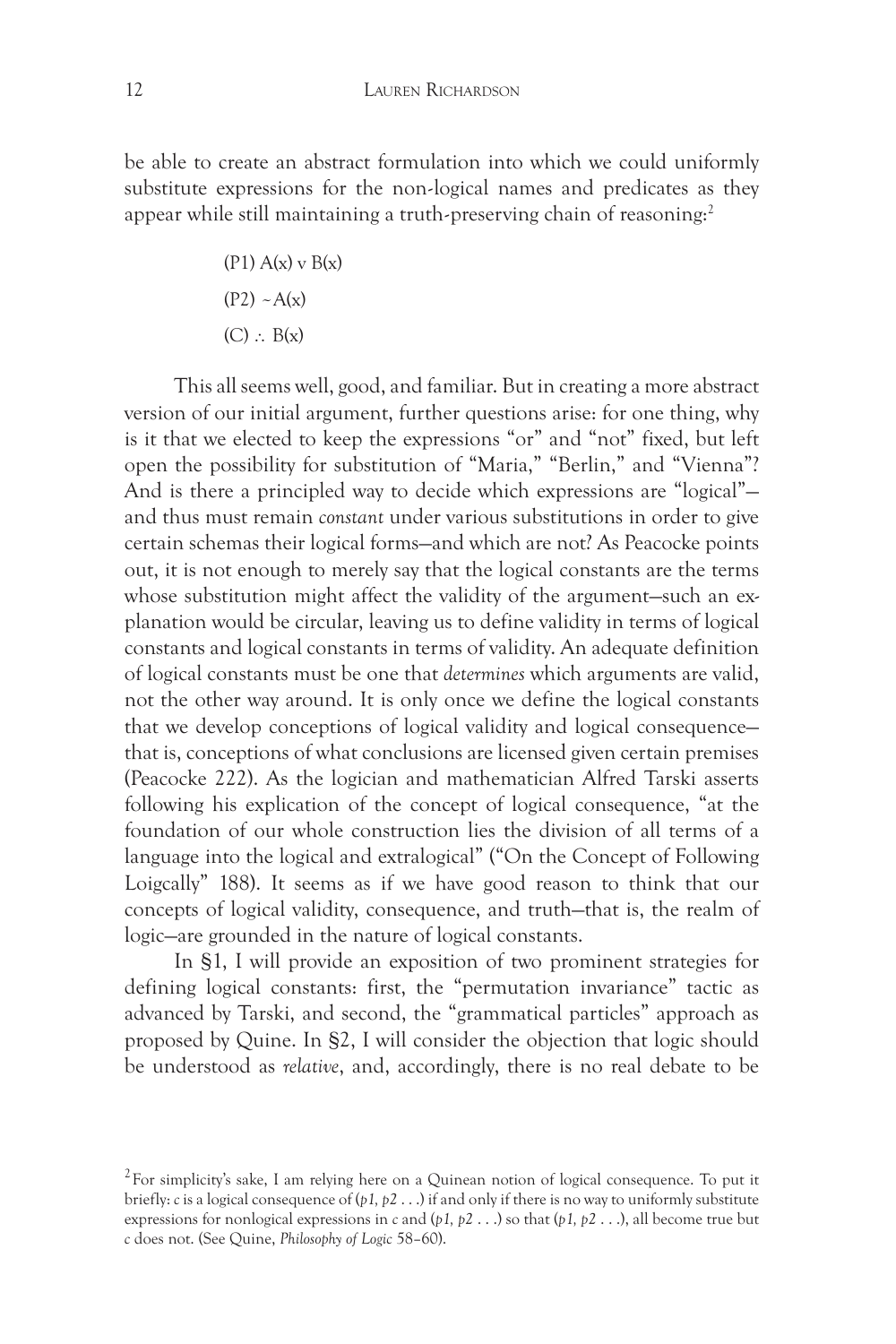be able to create an abstract formulation into which we could uniformly substitute expressions for the non-logical names and predicates as they appear while still maintaining a truth-preserving chain of reasoning:<sup>2</sup>

> $(P1) A(x) v B(x)$  $(P2) \sim A(x)$  $(C)$  ∴  $B(x)$

This all seems well, good, and familiar. But in creating a more abstract version of our initial argument, further questions arise: for one thing, why is it that we elected to keep the expressions "or" and "not" fixed, but left open the possibility for substitution of "Maria," "Berlin," and "Vienna"? And is there a principled way to decide which expressions are "logical" and thus must remain *constant* under various substitutions in order to give certain schemas their logical forms—and which are not? As Peacocke points out, it is not enough to merely say that the logical constants are the terms whose substitution might affect the validity of the argument-such an explanation would be circular, leaving us to define validity in terms of logical constants and logical constants in terms of validity. An adequate definition of logical constants must be one that *determines* which arguments are valid, not the other way around. It is only once we define the logical constants that we develop conceptions of logical validity and logical consequence that is, conceptions of what conclusions are licensed given certain premises (Peacocke 222). As the logician and mathematician Alfred Tarski asserts following his explication of the concept of logical consequence, "at the foundation of our whole construction lies the division of all terms of a language into the logical and extralogical" ("On the Concept of Following Loigcally" 188). It seems as if we have good reason to think that our concepts of logical validity, consequence, and truth—that is, the realm of logic—are grounded in the nature of logical constants.

In §1, I will provide an exposition of two prominent strategies for defining logical constants: first, the "permutation invariance" tactic as advanced by Tarski, and second, the "grammatical particles" approach as proposed by Quine. In §2, I will consider the objection that logic should be understood as *relative*, and, accordingly, there is no real debate to be

 $2$  For simplicity's sake, I am relying here on a Quinean notion of logical consequence. To put it briefly: *c* is a logical consequence of (*p1, p2* . . .) if and only if there is no way to uniformly substitute expressions for nonlogical expressions in *c* and (*p1, p2* . . .) so that (*p1, p2* . . .), all become true but *c* does not. (See Quine, *Philosophy of Logic* 58–60).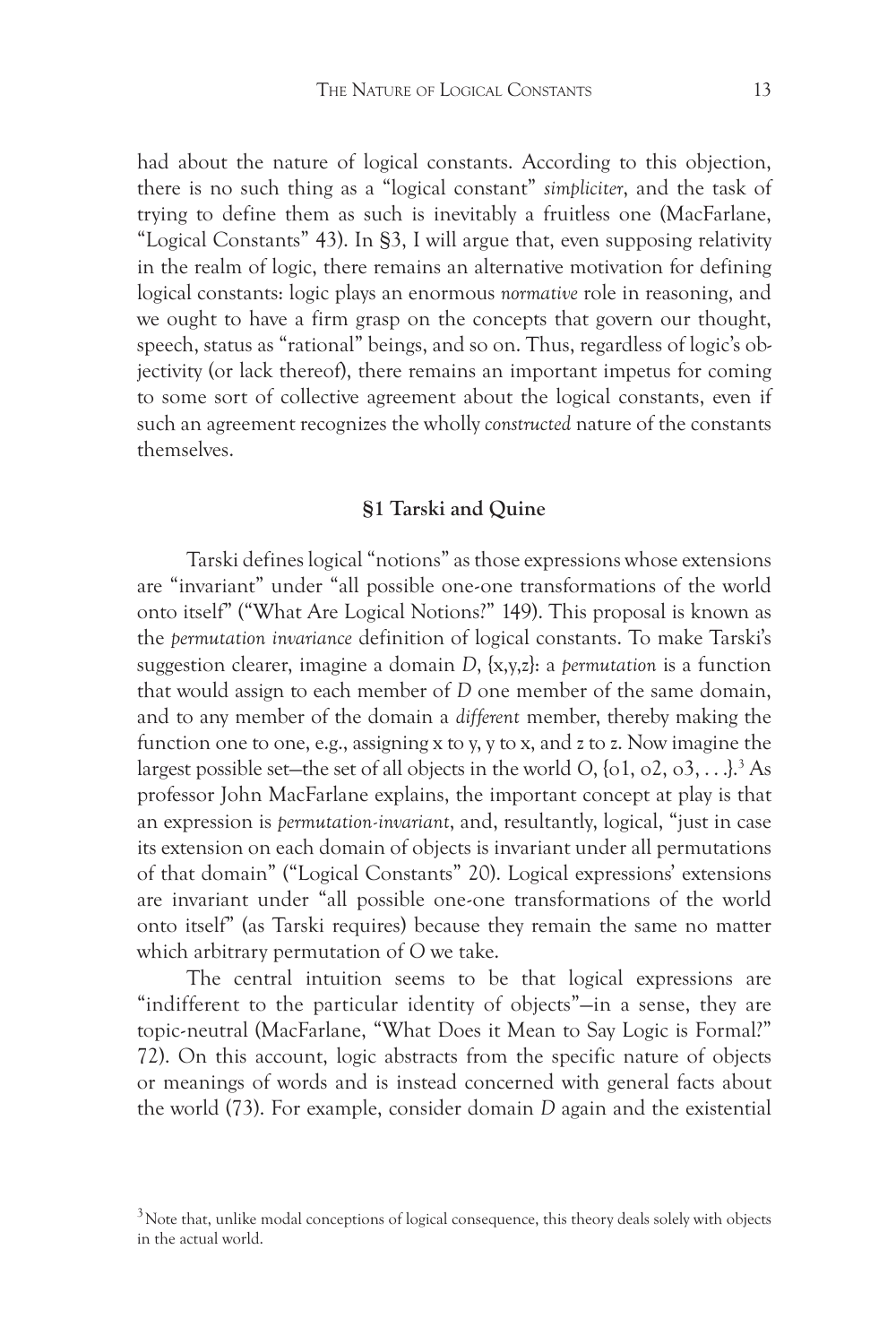had about the nature of logical constants. According to this objection, there is no such thing as a "logical constant" *simpliciter*, and the task of trying to define them as such is inevitably a fruitless one (MacFarlane, "Logical Constants" 43). In §3, I will argue that, even supposing relativity in the realm of logic, there remains an alternative motivation for defining logical constants: logic plays an enormous *normative* role in reasoning, and we ought to have a firm grasp on the concepts that govern our thought, speech, status as "rational" beings, and so on. Thus, regardless of logic's objectivity (or lack thereof), there remains an important impetus for coming to some sort of collective agreement about the logical constants, even if such an agreement recognizes the wholly *constructed* nature of the constants themselves.

#### **§1 Tarski and Quine**

Tarski defines logical "notions" as those expressions whose extensions are "invariant" under "all possible one-one transformations of the world onto itself" ("What Are Logical Notions?" 149). This proposal is known as the *permutation invariance* definition of logical constants. To make Tarski's suggestion clearer, imagine a domain *D*, {x,y,z}: a *permutation* is a function that would assign to each member of *D* one member of the same domain, and to any member of the domain a *different* member, thereby making the function one to one, e.g., assigning x to y, y to x, and z to z. Now imagine the largest possible set—the set of all objects in the world *O*, {o1, o2, o3, . . .}.3 As professor John MacFarlane explains, the important concept at play is that an expression is *permutation-invariant*, and, resultantly, logical, "just in case its extension on each domain of objects is invariant under all permutations of that domain" ("Logical Constants" 20). Logical expressions' extensions are invariant under "all possible one-one transformations of the world onto itself" (as Tarski requires) because they remain the same no matter which arbitrary permutation of *O* we take.

The central intuition seems to be that logical expressions are "indifferent to the particular identity of objects"—in a sense, they are topic-neutral (MacFarlane, "What Does it Mean to Say Logic is Formal?" 72). On this account, logic abstracts from the specific nature of objects or meanings of words and is instead concerned with general facts about the world (73). For example, consider domain *D* again and the existential

 $3$  Note that, unlike modal conceptions of logical consequence, this theory deals solely with objects in the actual world.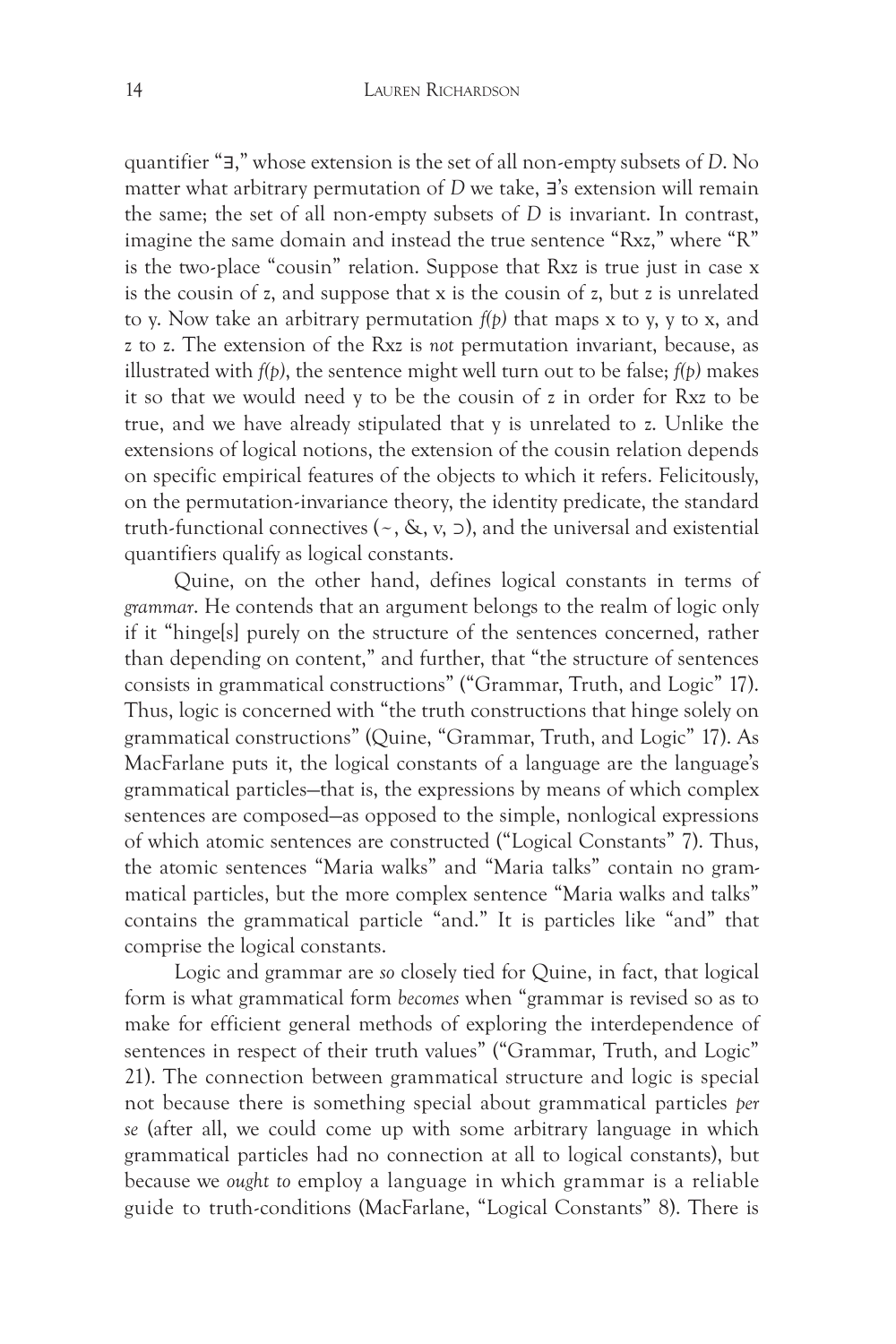quantifier "∃," whose extension is the set of all non-empty subsets of *D*. No matter what arbitrary permutation of *D* we take, ∃'s extension will remain the same; the set of all non-empty subsets of *D* is invariant. In contrast, imagine the same domain and instead the true sentence "Rxz," where "R" is the two-place "cousin" relation. Suppose that Rxz is true just in case x is the cousin of z, and suppose that x is the cousin of z, but z is unrelated to y. Now take an arbitrary permutation *f(p)* that maps x to y, y to x, and z to z. The extension of the Rxz is *not* permutation invariant, because, as illustrated with *f(p)*, the sentence might well turn out to be false; *f(p)* makes it so that we would need y to be the cousin of z in order for Rxz to be true, and we have already stipulated that y is unrelated to z. Unlike the extensions of logical notions, the extension of the cousin relation depends on specific empirical features of the objects to which it refers. Felicitously, on the permutation-invariance theory, the identity predicate, the standard truth-functional connectives ( $\sim$ , &, v,  $\supset$ ), and the universal and existential quantifiers qualify as logical constants.

Quine, on the other hand, defines logical constants in terms of *grammar*. He contends that an argument belongs to the realm of logic only if it "hinge[s] purely on the structure of the sentences concerned, rather than depending on content," and further, that "the structure of sentences consists in grammatical constructions" ("Grammar, Truth, and Logic" 17). Thus, logic is concerned with "the truth constructions that hinge solely on grammatical constructions" (Quine, "Grammar, Truth, and Logic" 17). As MacFarlane puts it, the logical constants of a language are the language's grammatical particles—that is, the expressions by means of which complex sentences are composed—as opposed to the simple, nonlogical expressions of which atomic sentences are constructed ("Logical Constants" 7). Thus, the atomic sentences "Maria walks" and "Maria talks" contain no grammatical particles, but the more complex sentence "Maria walks and talks" contains the grammatical particle "and." It is particles like "and" that comprise the logical constants.

Logic and grammar are *so* closely tied for Quine, in fact, that logical form is what grammatical form *becomes* when "grammar is revised so as to make for efficient general methods of exploring the interdependence of sentences in respect of their truth values" ("Grammar, Truth, and Logic" 21). The connection between grammatical structure and logic is special not because there is something special about grammatical particles *per se* (after all, we could come up with some arbitrary language in which grammatical particles had no connection at all to logical constants), but because we *ought to* employ a language in which grammar is a reliable guide to truth-conditions (MacFarlane, "Logical Constants" 8). There is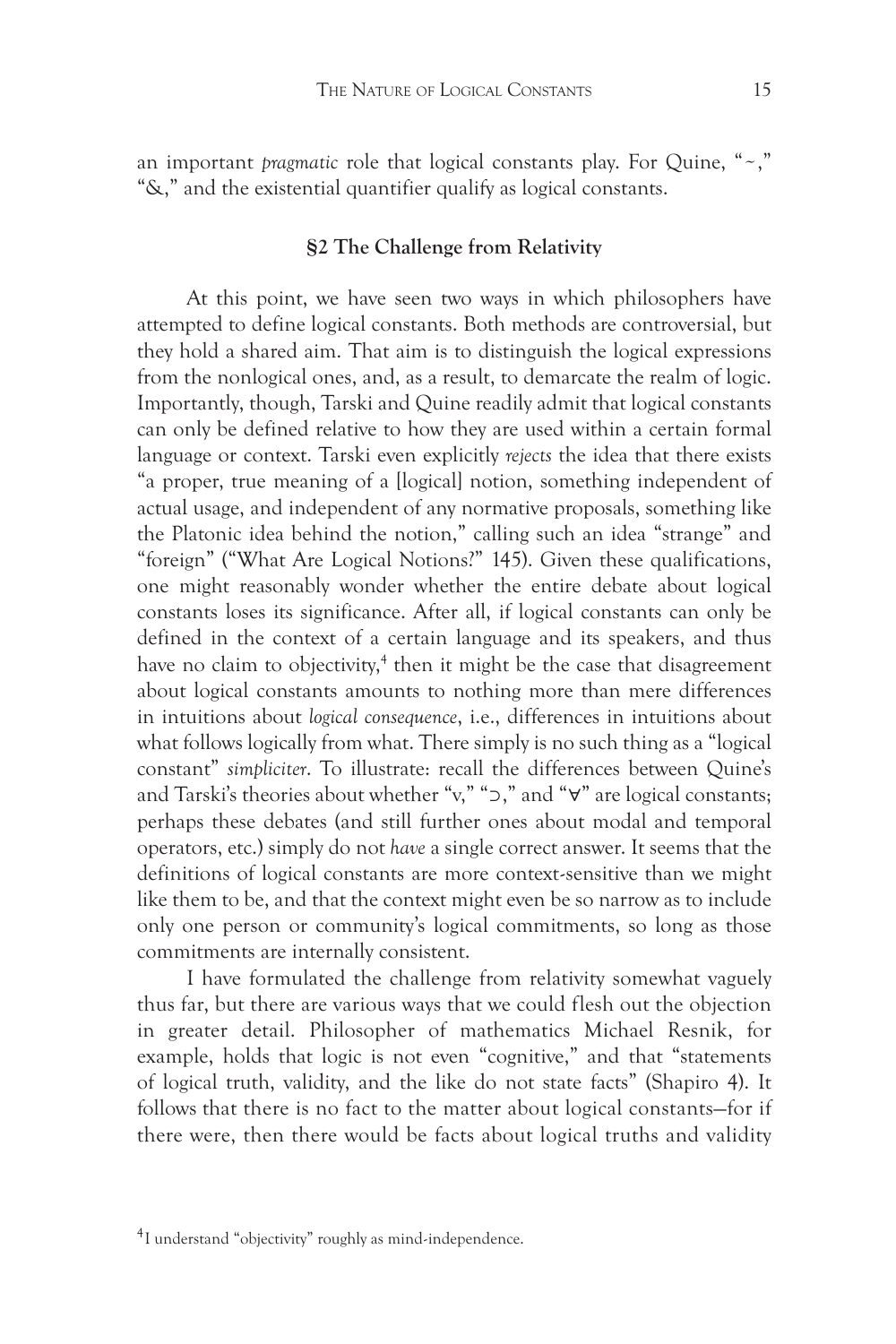an important *pragmatic* role that logical constants play. For Quine, "~," "&," and the existential quantifier qualify as logical constants.

# **§2 The Challenge from Relativity**

At this point, we have seen two ways in which philosophers have attempted to define logical constants. Both methods are controversial, but they hold a shared aim. That aim is to distinguish the logical expressions from the nonlogical ones, and, as a result, to demarcate the realm of logic. Importantly, though, Tarski and Quine readily admit that logical constants can only be defined relative to how they are used within a certain formal language or context. Tarski even explicitly *rejects* the idea that there exists "a proper, true meaning of a [logical] notion, something independent of actual usage, and independent of any normative proposals, something like the Platonic idea behind the notion," calling such an idea "strange" and "foreign" ("What Are Logical Notions?" 145). Given these qualifications, one might reasonably wonder whether the entire debate about logical constants loses its significance. After all, if logical constants can only be defined in the context of a certain language and its speakers, and thus have no claim to objectivity,<sup>4</sup> then it might be the case that disagreement about logical constants amounts to nothing more than mere differences in intuitions about *logical consequence*, i.e., differences in intuitions about what follows logically from what. There simply is no such thing as a "logical constant" *simpliciter*. To illustrate: recall the differences between Quine's and Tarski's theories about whether "v," "⊃," and "∀" are logical constants; perhaps these debates (and still further ones about modal and temporal operators, etc.) simply do not *have* a single correct answer. It seems that the definitions of logical constants are more context-sensitive than we might like them to be, and that the context might even be so narrow as to include only one person or community's logical commitments, so long as those commitments are internally consistent.

I have formulated the challenge from relativity somewhat vaguely thus far, but there are various ways that we could flesh out the objection in greater detail. Philosopher of mathematics Michael Resnik, for example, holds that logic is not even "cognitive," and that "statements of logical truth, validity, and the like do not state facts" (Shapiro 4). It follows that there is no fact to the matter about logical constants—for if there were, then there would be facts about logical truths and validity

<sup>&</sup>lt;sup>4</sup>I understand "objectivity" roughly as mind-independence.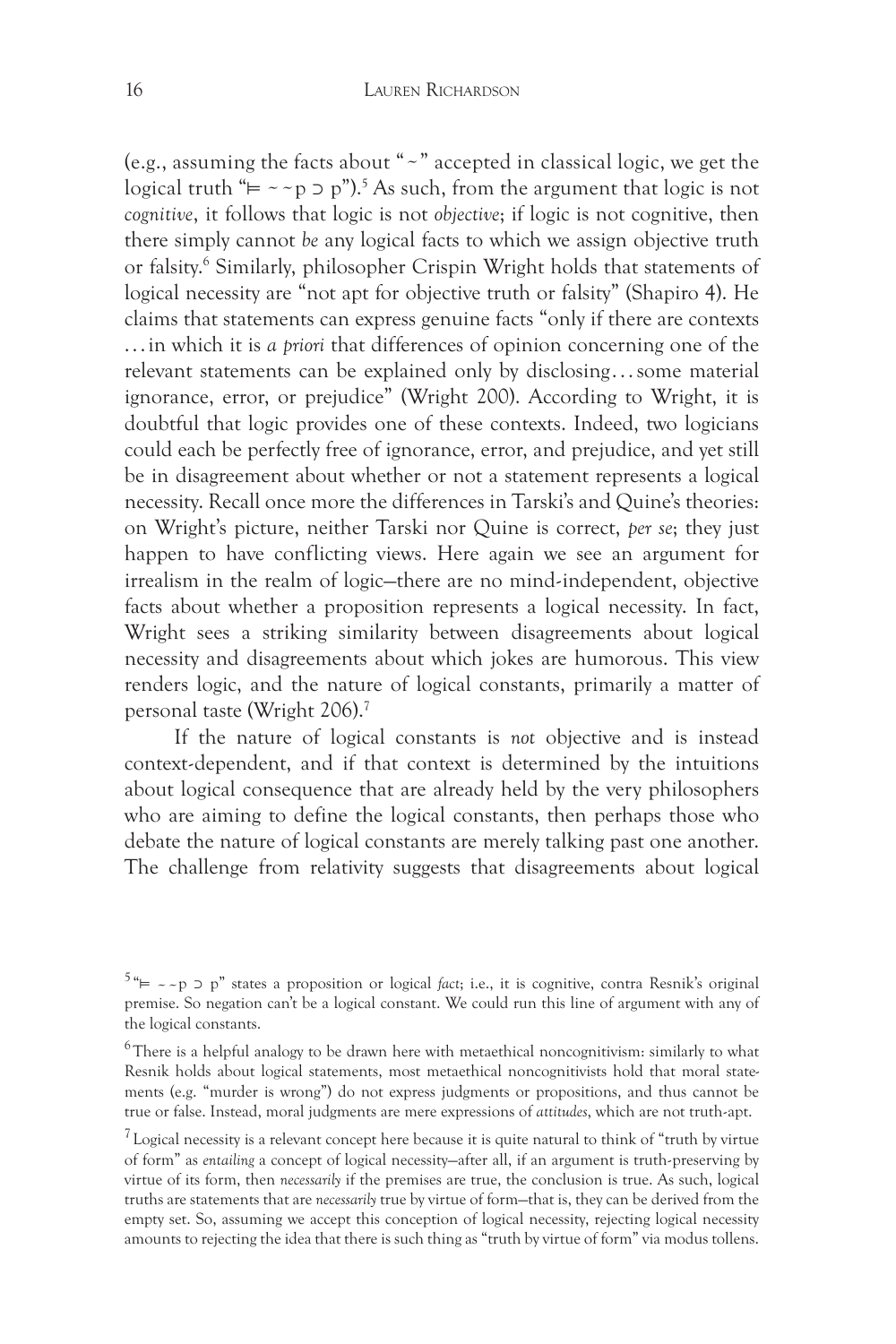(e.g., assuming the facts about "~" accepted in classical logic, we get the logical truth " $\models \sim p$ " ⊃ p").<sup>5</sup> As such, from the argument that logic is not *cognitive*, it follows that logic is not *objective*; if logic is not cognitive, then there simply cannot *be* any logical facts to which we assign objective truth or falsity.<sup>6</sup> Similarly, philosopher Crispin Wright holds that statements of logical necessity are "not apt for objective truth or falsity" (Shapiro 4). He claims that statements can express genuine facts "only if there are contexts . . . in which it is *a priori* that differences of opinion concerning one of the relevant statements can be explained only by disclosing . . . some material ignorance, error, or prejudice" (Wright 200). According to Wright, it is doubtful that logic provides one of these contexts. Indeed, two logicians could each be perfectly free of ignorance, error, and prejudice, and yet still be in disagreement about whether or not a statement represents a logical necessity. Recall once more the differences in Tarski's and Quine's theories: on Wright's picture, neither Tarski nor Quine is correct, *per se*; they just happen to have conflicting views. Here again we see an argument for irrealism in the realm of logic—there are no mind-independent, objective facts about whether a proposition represents a logical necessity. In fact, Wright sees a striking similarity between disagreements about logical necessity and disagreements about which jokes are humorous. This view renders logic, and the nature of logical constants, primarily a matter of personal taste (Wright 206).7

If the nature of logical constants is *not* objective and is instead context-dependent, and if that context is determined by the intuitions about logical consequence that are already held by the very philosophers who are aiming to define the logical constants, then perhaps those who debate the nature of logical constants are merely talking past one another. The challenge from relativity suggests that disagreements about logical

<sup>&</sup>lt;sup>5</sup> " $\models \neg\neg p$ " states a proposition or logical *fact*; i.e., it is cognitive, contra Resnik's original premise. So negation can't be a logical constant. We could run this line of argument with any of the logical constants.

<sup>&</sup>lt;sup>6</sup>There is a helpful analogy to be drawn here with metaethical noncognitivism: similarly to what Resnik holds about logical statements, most metaethical noncognitivists hold that moral statements (e.g. "murder is wrong") do not express judgments or propositions, and thus cannot be true or false. Instead, moral judgments are mere expressions of *attitudes*, which are not truth-apt.

 $17$  Logical necessity is a relevant concept here because it is quite natural to think of "truth by virtue of form" as *entailing* a concept of logical necessity—after all, if an argument is truth-preserving by virtue of its form, then *necessarily* if the premises are true, the conclusion is true. As such, logical truths are statements that are *necessarily* true by virtue of form—that is, they can be derived from the empty set. So, assuming we accept this conception of logical necessity, rejecting logical necessity amounts to rejecting the idea that there is such thing as "truth by virtue of form" via modus tollens.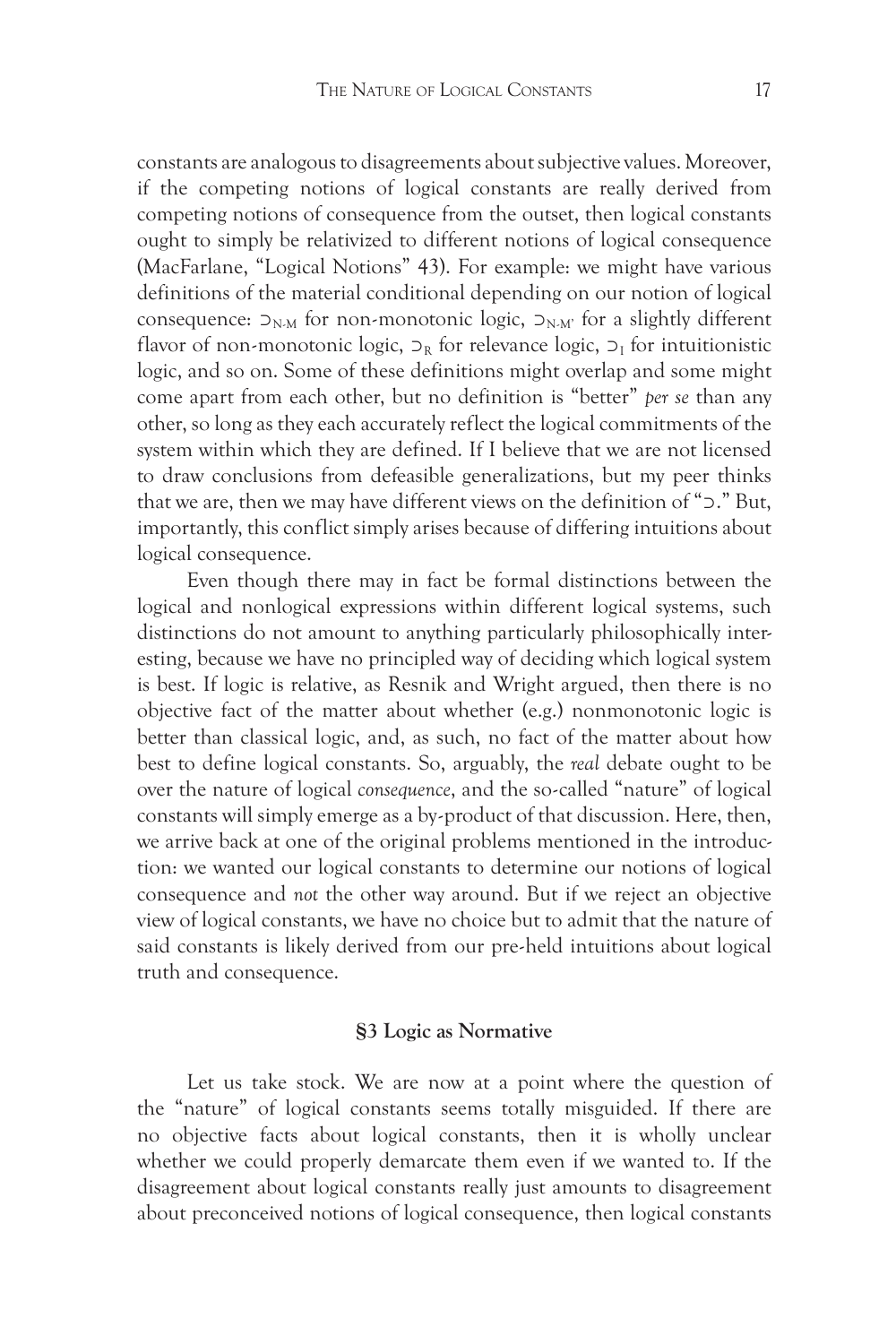constants are analogous to disagreements about subjective values. Moreover, if the competing notions of logical constants are really derived from competing notions of consequence from the outset, then logical constants ought to simply be relativized to different notions of logical consequence (MacFarlane, "Logical Notions" 43). For example: we might have various definitions of the material conditional depending on our notion of logical consequence:  $D_{N,M}$  for non-monotonic logic,  $D_{N,M'}$  for a slightly different flavor of non-monotonic logic,  $\supset_R$  for relevance logic,  $\supset_I$  for intuitionistic logic, and so on. Some of these definitions might overlap and some might come apart from each other, but no definition is "better" *per se* than any other, so long as they each accurately reflect the logical commitments of the system within which they are defined. If I believe that we are not licensed to draw conclusions from defeasible generalizations, but my peer thinks that we are, then we may have different views on the definition of "⊃." But, importantly, this conflict simply arises because of differing intuitions about logical consequence.

Even though there may in fact be formal distinctions between the logical and nonlogical expressions within different logical systems, such distinctions do not amount to anything particularly philosophically interesting, because we have no principled way of deciding which logical system is best. If logic is relative, as Resnik and Wright argued, then there is no objective fact of the matter about whether (e.g.) nonmonotonic logic is better than classical logic, and, as such, no fact of the matter about how best to define logical constants. So, arguably, the *real* debate ought to be over the nature of logical *consequence*, and the so-called "nature" of logical constants will simply emerge as a by-product of that discussion. Here, then, we arrive back at one of the original problems mentioned in the introduction: we wanted our logical constants to determine our notions of logical consequence and *not* the other way around. But if we reject an objective view of logical constants, we have no choice but to admit that the nature of said constants is likely derived from our pre-held intuitions about logical truth and consequence.

#### **§3 Logic as Normative**

Let us take stock. We are now at a point where the question of the "nature" of logical constants seems totally misguided. If there are no objective facts about logical constants, then it is wholly unclear whether we could properly demarcate them even if we wanted to. If the disagreement about logical constants really just amounts to disagreement about preconceived notions of logical consequence, then logical constants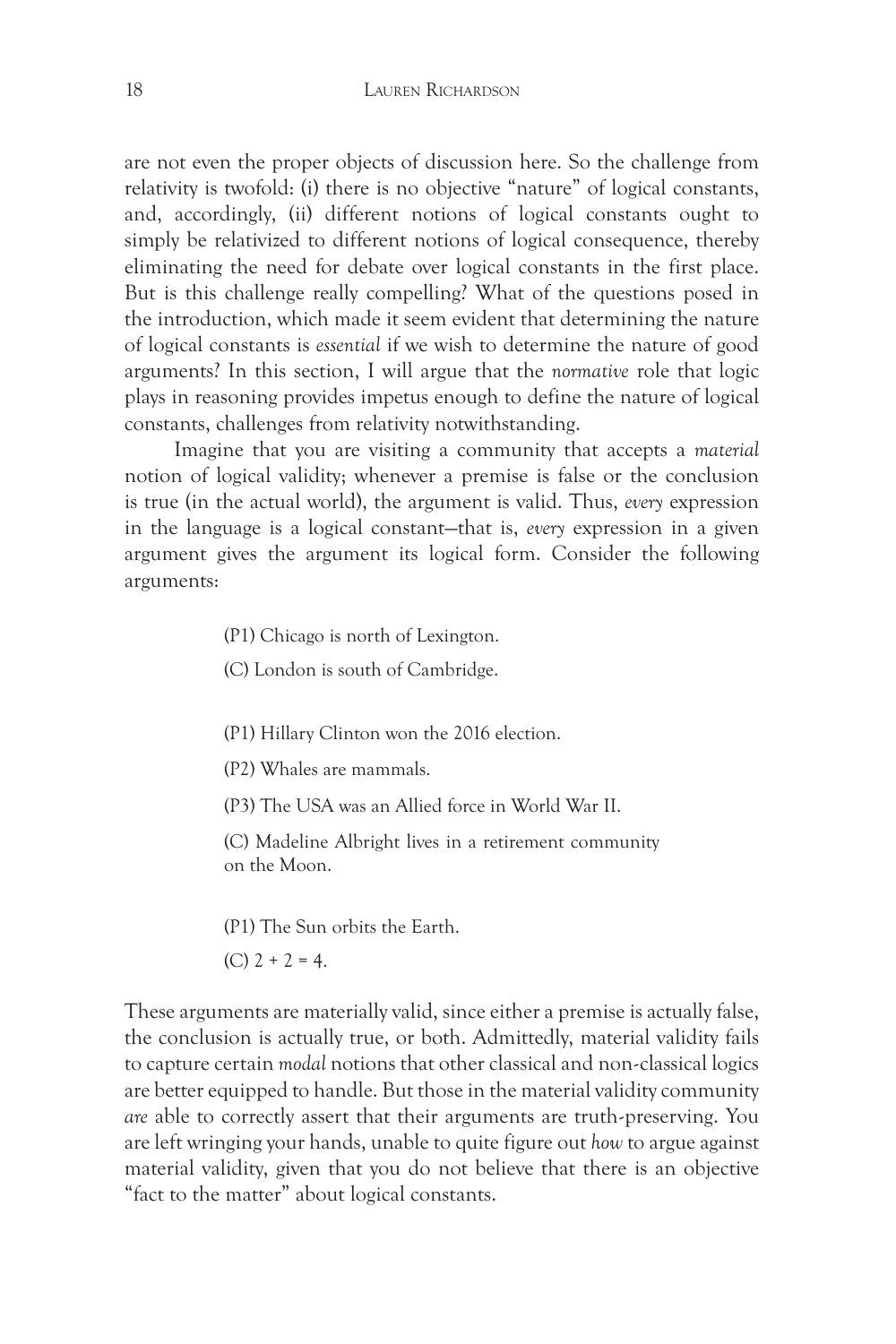are not even the proper objects of discussion here. So the challenge from relativity is twofold: (i) there is no objective "nature" of logical constants, and, accordingly, (ii) different notions of logical constants ought to simply be relativized to different notions of logical consequence, thereby eliminating the need for debate over logical constants in the first place. But is this challenge really compelling? What of the questions posed in the introduction, which made it seem evident that determining the nature of logical constants is *essential* if we wish to determine the nature of good arguments? In this section, I will argue that the *normative* role that logic plays in reasoning provides impetus enough to define the nature of logical constants, challenges from relativity notwithstanding.

Imagine that you are visiting a community that accepts a *material*  notion of logical validity; whenever a premise is false or the conclusion is true (in the actual world), the argument is valid. Thus, *every* expression in the language is a logical constant—that is, *every* expression in a given argument gives the argument its logical form. Consider the following arguments:

(P1) Chicago is north of Lexington.

(C) London is south of Cambridge.

(P1) Hillary Clinton won the 2016 election.

(P2) Whales are mammals.

(P3) The USA was an Allied force in World War II.

(C) Madeline Albright lives in a retirement community on the Moon.

(P1) The Sun orbits the Earth.

 $(C)$  2 + 2 = 4.

These arguments are materially valid, since either a premise is actually false, the conclusion is actually true, or both. Admittedly, material validity fails to capture certain *modal* notions that other classical and non-classical logics are better equipped to handle. But those in the material validity community *are* able to correctly assert that their arguments are truth-preserving. You are left wringing your hands, unable to quite figure out *how* to argue against material validity, given that you do not believe that there is an objective "fact to the matter" about logical constants.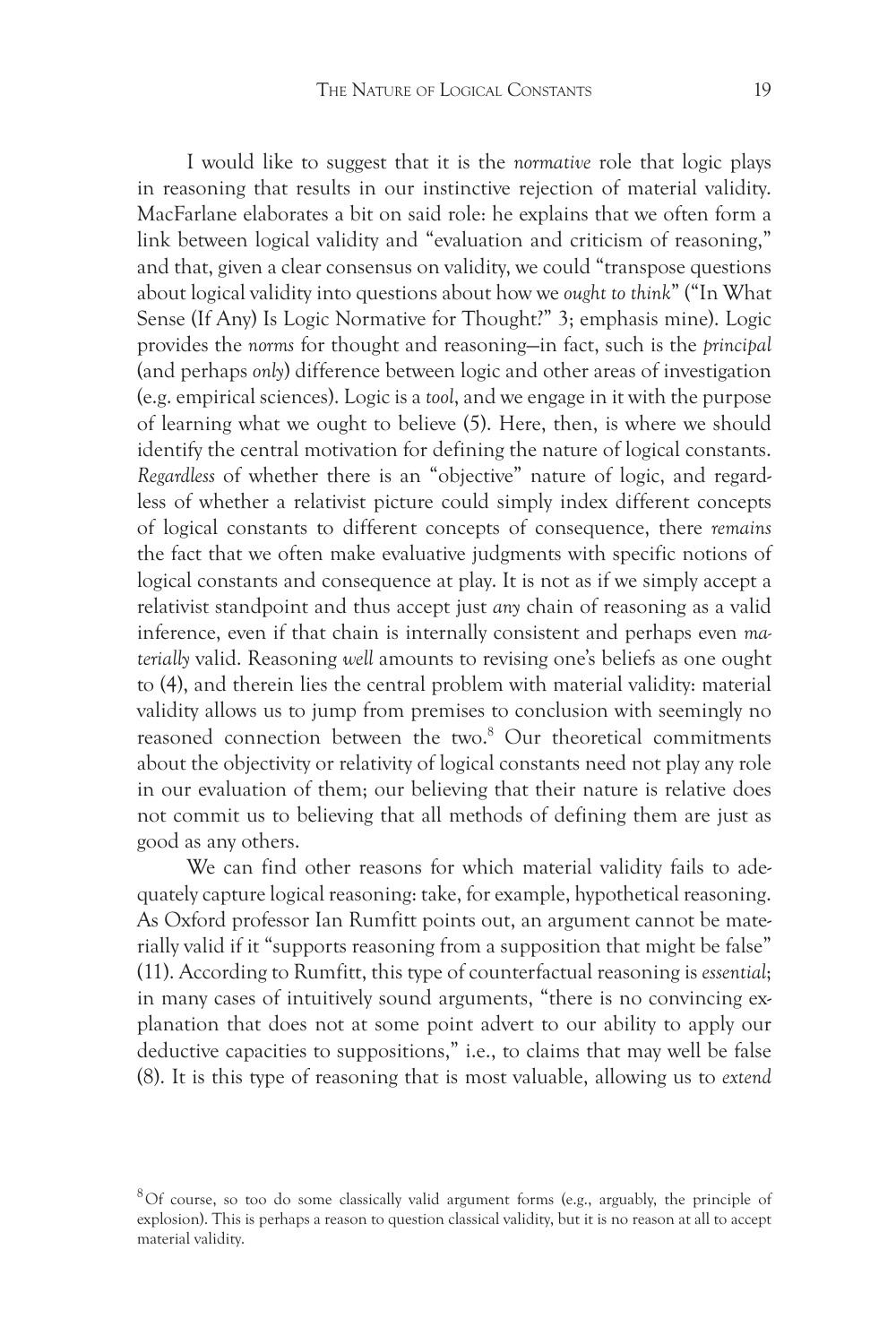I would like to suggest that it is the *normative* role that logic plays in reasoning that results in our instinctive rejection of material validity. MacFarlane elaborates a bit on said role: he explains that we often form a link between logical validity and "evaluation and criticism of reasoning," and that, given a clear consensus on validity, we could "transpose questions about logical validity into questions about how we *ought to think*" ("In What Sense (If Any) Is Logic Normative for Thought?" 3; emphasis mine). Logic provides the *norms* for thought and reasoning—in fact, such is the *principal*  (and perhaps *only*) difference between logic and other areas of investigation (e.g. empirical sciences). Logic is a *tool*, and we engage in it with the purpose of learning what we ought to believe (5). Here, then, is where we should identify the central motivation for defining the nature of logical constants. *Regardless* of whether there is an "objective" nature of logic, and regardless of whether a relativist picture could simply index different concepts of logical constants to different concepts of consequence, there *remains*  the fact that we often make evaluative judgments with specific notions of logical constants and consequence at play. It is not as if we simply accept a relativist standpoint and thus accept just *any* chain of reasoning as a valid inference, even if that chain is internally consistent and perhaps even *materially* valid. Reasoning *well* amounts to revising one's beliefs as one ought to (4), and therein lies the central problem with material validity: material validity allows us to jump from premises to conclusion with seemingly no reasoned connection between the two.<sup>8</sup> Our theoretical commitments about the objectivity or relativity of logical constants need not play any role in our evaluation of them; our believing that their nature is relative does not commit us to believing that all methods of defining them are just as good as any others.

We can find other reasons for which material validity fails to adequately capture logical reasoning: take, for example, hypothetical reasoning. As Oxford professor Ian Rumfitt points out, an argument cannot be materially valid if it "supports reasoning from a supposition that might be false" (11). According to Rumfitt, this type of counterfactual reasoning is *essential*; in many cases of intuitively sound arguments, "there is no convincing explanation that does not at some point advert to our ability to apply our deductive capacities to suppositions," i.e., to claims that may well be false (8). It is this type of reasoning that is most valuable, allowing us to *extend*

 $8$ Of course, so too do some classically valid argument forms (e.g., arguably, the principle of explosion). This is perhaps a reason to question classical validity, but it is no reason at all to accept material validity.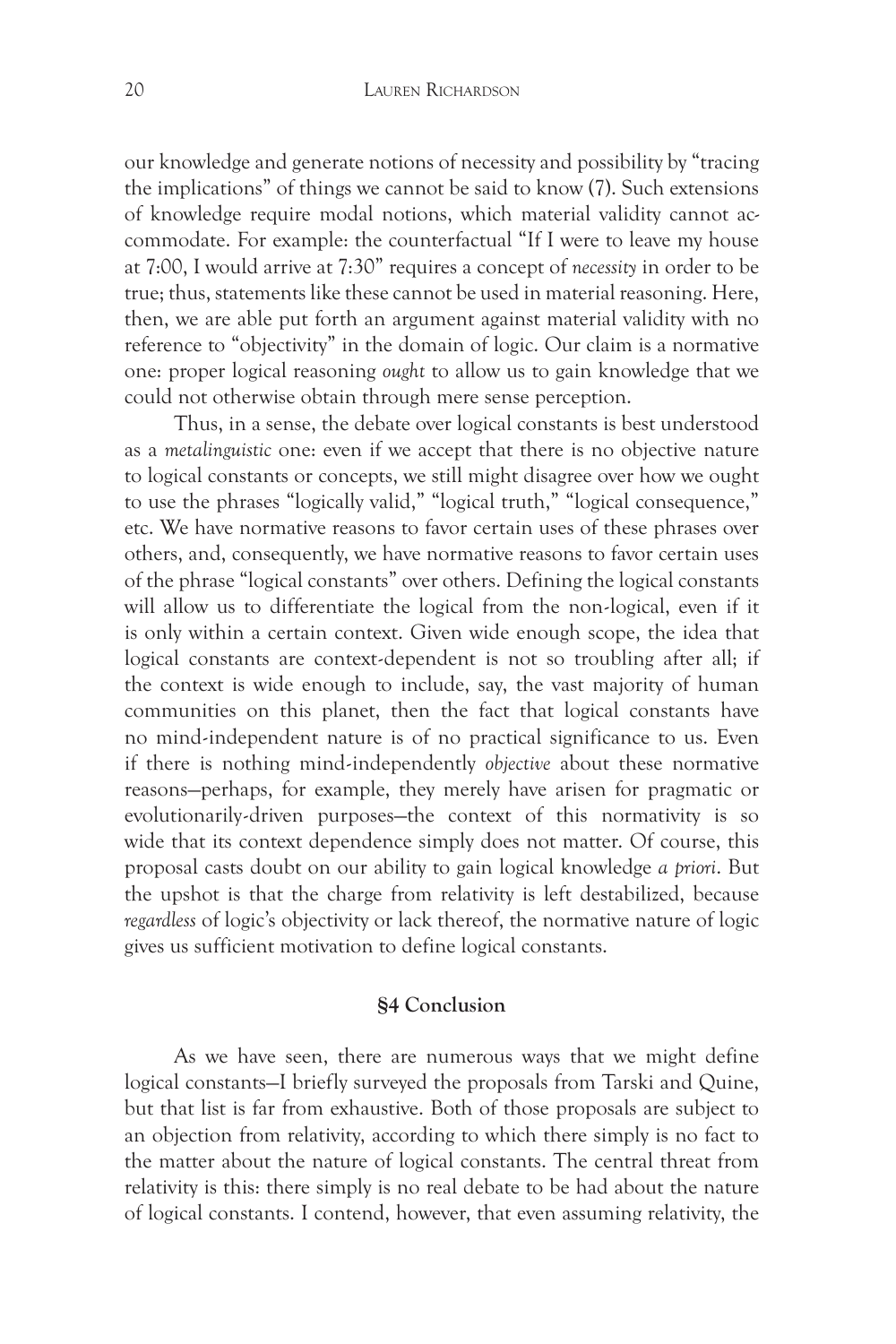our knowledge and generate notions of necessity and possibility by "tracing the implications" of things we cannot be said to know (7). Such extensions of knowledge require modal notions, which material validity cannot accommodate. For example: the counterfactual "If I were to leave my house at 7:00, I would arrive at 7:30" requires a concept of *necessity* in order to be true; thus, statements like these cannot be used in material reasoning. Here, then, we are able put forth an argument against material validity with no reference to "objectivity" in the domain of logic. Our claim is a normative one: proper logical reasoning *ought* to allow us to gain knowledge that we could not otherwise obtain through mere sense perception.

Thus, in a sense, the debate over logical constants is best understood as a *metalinguistic* one: even if we accept that there is no objective nature to logical constants or concepts, we still might disagree over how we ought to use the phrases "logically valid," "logical truth," "logical consequence," etc. We have normative reasons to favor certain uses of these phrases over others, and, consequently, we have normative reasons to favor certain uses of the phrase "logical constants" over others. Defining the logical constants will allow us to differentiate the logical from the non-logical, even if it is only within a certain context. Given wide enough scope, the idea that logical constants are context-dependent is not so troubling after all; if the context is wide enough to include, say, the vast majority of human communities on this planet, then the fact that logical constants have no mind-independent nature is of no practical significance to us. Even if there is nothing mind-independently *objective* about these normative reasons—perhaps, for example, they merely have arisen for pragmatic or evolutionarily-driven purposes—the context of this normativity is so wide that its context dependence simply does not matter. Of course, this proposal casts doubt on our ability to gain logical knowledge *a priori*. But the upshot is that the charge from relativity is left destabilized, because *regardless* of logic's objectivity or lack thereof, the normative nature of logic gives us sufficient motivation to define logical constants.

# **§4 Conclusion**

As we have seen, there are numerous ways that we might define logical constants—I briefly surveyed the proposals from Tarski and Quine, but that list is far from exhaustive. Both of those proposals are subject to an objection from relativity, according to which there simply is no fact to the matter about the nature of logical constants. The central threat from relativity is this: there simply is no real debate to be had about the nature of logical constants. I contend, however, that even assuming relativity, the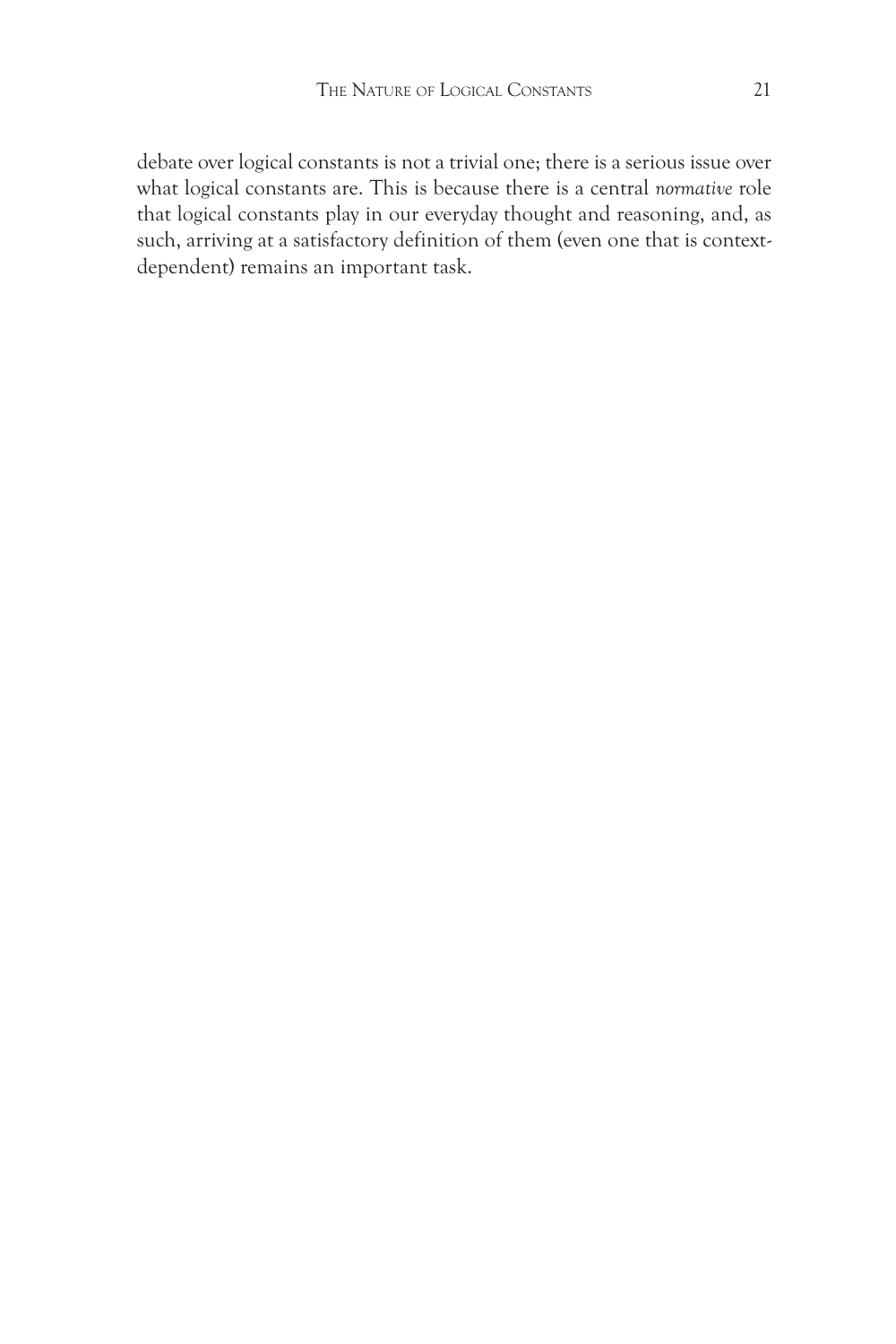debate over logical constants is not a trivial one; there is a serious issue over what logical constants are. This is because there is a central *normative* role that logical constants play in our everyday thought and reasoning, and, as such, arriving at a satisfactory definition of them (even one that is contextdependent) remains an important task.